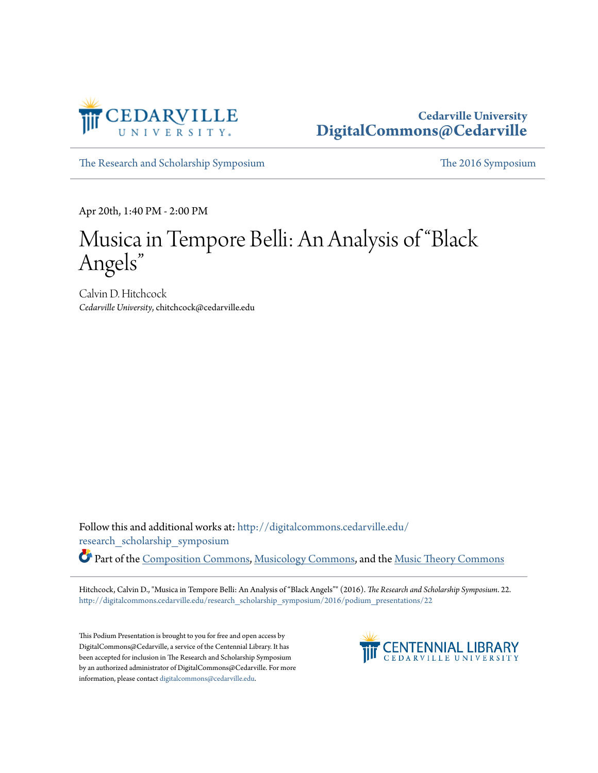

## **Cedarville University [DigitalCommons@Cedarville](http://digitalcommons.cedarville.edu?utm_source=digitalcommons.cedarville.edu%2Fresearch_scholarship_symposium%2F2016%2Fpodium_presentations%2F22&utm_medium=PDF&utm_campaign=PDFCoverPages)**

[The Research and Scholarship Symposium](http://digitalcommons.cedarville.edu/research_scholarship_symposium?utm_source=digitalcommons.cedarville.edu%2Fresearch_scholarship_symposium%2F2016%2Fpodium_presentations%2F22&utm_medium=PDF&utm_campaign=PDFCoverPages) [The 2016 Symposium](http://digitalcommons.cedarville.edu/research_scholarship_symposium/2016?utm_source=digitalcommons.cedarville.edu%2Fresearch_scholarship_symposium%2F2016%2Fpodium_presentations%2F22&utm_medium=PDF&utm_campaign=PDFCoverPages)

Apr 20th, 1:40 PM - 2:00 PM

## Musica in Tempore Belli: An Analysis of "Black Angels "

Calvin D. Hitchcock *Cedarville University*, chitchcock@cedarville.edu

Follow this and additional works at: [http://digitalcommons.cedarville.edu/](http://digitalcommons.cedarville.edu/research_scholarship_symposium?utm_source=digitalcommons.cedarville.edu%2Fresearch_scholarship_symposium%2F2016%2Fpodium_presentations%2F22&utm_medium=PDF&utm_campaign=PDFCoverPages) [research\\_scholarship\\_symposium](http://digitalcommons.cedarville.edu/research_scholarship_symposium?utm_source=digitalcommons.cedarville.edu%2Fresearch_scholarship_symposium%2F2016%2Fpodium_presentations%2F22&utm_medium=PDF&utm_campaign=PDFCoverPages) Part of the [Composition Commons,](http://network.bepress.com/hgg/discipline/519?utm_source=digitalcommons.cedarville.edu%2Fresearch_scholarship_symposium%2F2016%2Fpodium_presentations%2F22&utm_medium=PDF&utm_campaign=PDFCoverPages) [Musicology Commons](http://network.bepress.com/hgg/discipline/521?utm_source=digitalcommons.cedarville.edu%2Fresearch_scholarship_symposium%2F2016%2Fpodium_presentations%2F22&utm_medium=PDF&utm_campaign=PDFCoverPages), and the [Music Theory Commons](http://network.bepress.com/hgg/discipline/522?utm_source=digitalcommons.cedarville.edu%2Fresearch_scholarship_symposium%2F2016%2Fpodium_presentations%2F22&utm_medium=PDF&utm_campaign=PDFCoverPages)

Hitchcock, Calvin D., "Musica in Tempore Belli: An Analysis of "Black Angels"" (2016). *The Research and Scholarship Symposium*. 22. [http://digitalcommons.cedarville.edu/research\\_scholarship\\_symposium/2016/podium\\_presentations/22](http://digitalcommons.cedarville.edu/research_scholarship_symposium/2016/podium_presentations/22?utm_source=digitalcommons.cedarville.edu%2Fresearch_scholarship_symposium%2F2016%2Fpodium_presentations%2F22&utm_medium=PDF&utm_campaign=PDFCoverPages)

This Podium Presentation is brought to you for free and open access by DigitalCommons@Cedarville, a service of the Centennial Library. It has been accepted for inclusion in The Research and Scholarship Symposium by an authorized administrator of DigitalCommons@Cedarville. For more information, please contact [digitalcommons@cedarville.edu.](mailto:digitalcommons@cedarville.edu)